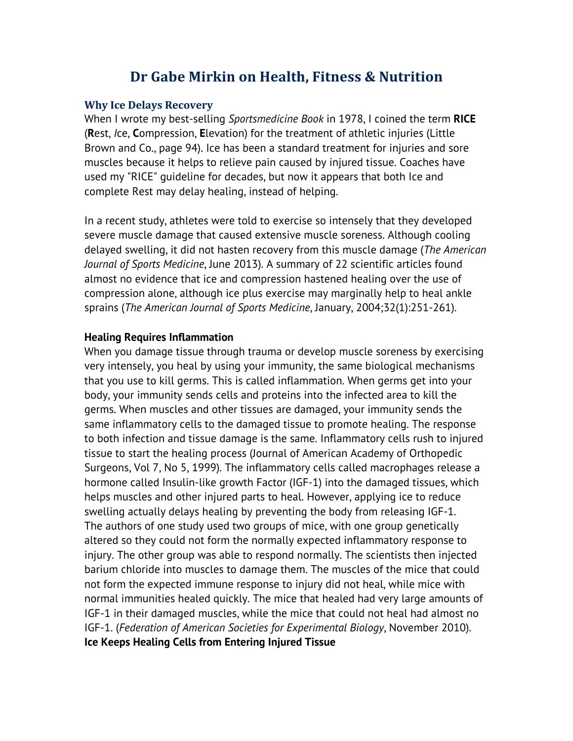# **Dr Gabe Mirkin on Health, Fitness & Nutrition**

#### **Why Ice Delays Recovery**

When I wrote my best-selling *Sportsmedicine Book* in 1978, I coined the term **RICE** (**R**est, *I*ce, **C**ompression, **E**levation) for the treatment of athletic injuries (Little Brown and Co., page 94). Ice has been a standard treatment for injuries and sore muscles because it helps to relieve pain caused by injured tissue. Coaches have used my "RICE" guideline for decades, but now it appears that both Ice and complete Rest may delay healing, instead of helping.

In a recent study, athletes were told to exercise so intensely that they developed severe muscle damage that caused extensive muscle soreness. Although cooling delayed swelling, it did not hasten recovery from this muscle damage (*The American Journal of Sports Medicine*, June 2013). A summary of 22 scientific articles found almost no evidence that ice and compression hastened healing over the use of compression alone, although ice plus exercise may marginally help to heal ankle sprains (*The American Journal of Sports Medicine*, January, 2004;32(1):251-261).

#### **Healing Requires Inflammation**

When you damage tissue through trauma or develop muscle soreness by exercising very intensely, you heal by using your immunity, the same biological mechanisms that you use to kill germs. This is called inflammation. When germs get into your body, your immunity sends cells and proteins into the infected area to kill the germs. When muscles and other tissues are damaged, your immunity sends the same inflammatory cells to the damaged tissue to promote healing. The response to both infection and tissue damage is the same. Inflammatory cells rush to injured tissue to start the healing process (Journal of American Academy of Orthopedic Surgeons, Vol 7, No 5, 1999). The inflammatory cells called macrophages release a hormone called Insulin-like growth Factor (IGF-1) into the damaged tissues, which helps muscles and other injured parts to heal. However, applying ice to reduce swelling actually delays healing by preventing the body from releasing IGF-1. The authors of one study used two groups of mice, with one group genetically altered so they could not form the normally expected inflammatory response to injury. The other group was able to respond normally. The scientists then injected barium chloride into muscles to damage them. The muscles of the mice that could not form the expected immune response to injury did not heal, while mice with normal immunities healed quickly. The mice that healed had very large amounts of IGF-1 in their damaged muscles, while the mice that could not heal had almost no IGF-1. (*Federation of American Societies for Experimental Biology*, November 2010). **Ice Keeps Healing Cells from Entering Injured Tissue**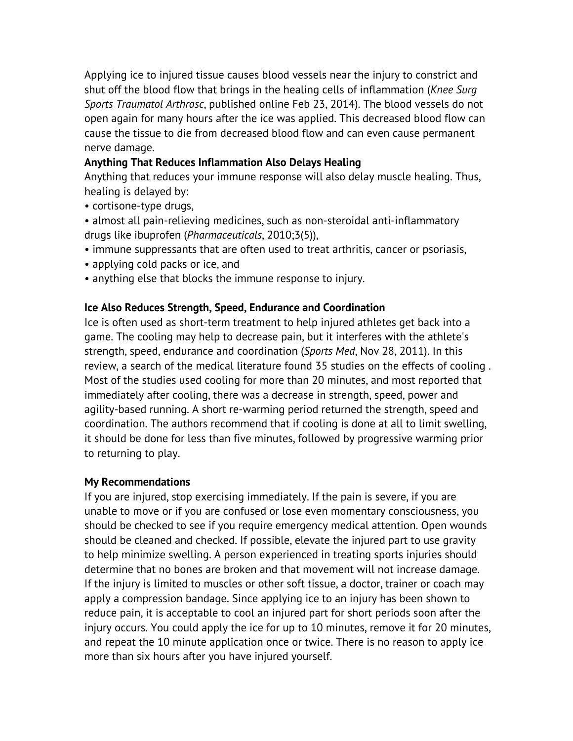Applying ice to injured tissue causes blood vessels near the injury to constrict and shut off the blood flow that brings in the healing cells of inflammation (*Knee Surg Sports Traumatol Arthrosc*, published online Feb 23, 2014). The blood vessels do not open again for many hours after the ice was applied. This decreased blood flow can cause the tissue to die from decreased blood flow and can even cause permanent nerve damage.

## **Anything That Reduces Inflammation Also Delays Healing**

Anything that reduces your immune response will also delay muscle healing. Thus, healing is delayed by:

- cortisone-type drugs,
- almost all pain-relieving medicines, such as non-steroidal anti-inflammatory drugs like ibuprofen (*Pharmaceuticals*, 2010;3(5)),
- immune suppressants that are often used to treat arthritis, cancer or psoriasis,
- applying cold packs or ice, and
- anything else that blocks the immune response to injury.

## **Ice Also Reduces Strength, Speed, Endurance and Coordination**

Ice is often used as short-term treatment to help injured athletes get back into a game. The cooling may help to decrease pain, but it interferes with the athlete's strength, speed, endurance and coordination (*Sports Med*, Nov 28, 2011). In this review, a search of the medical literature found 35 studies on the effects of cooling . Most of the studies used cooling for more than 20 minutes, and most reported that immediately after cooling, there was a decrease in strength, speed, power and agility-based running. A short re-warming period returned the strength, speed and coordination. The authors recommend that if cooling is done at all to limit swelling, it should be done for less than five minutes, followed by progressive warming prior to returning to play.

### **My Recommendations**

If you are injured, stop exercising immediately. If the pain is severe, if you are unable to move or if you are confused or lose even momentary consciousness, you should be checked to see if you require emergency medical attention. Open wounds should be cleaned and checked. If possible, elevate the injured part to use gravity to help minimize swelling. A person experienced in treating sports injuries should determine that no bones are broken and that movement will not increase damage. If the injury is limited to muscles or other soft tissue, a doctor, trainer or coach may apply a compression bandage. Since applying ice to an injury has been shown to reduce pain, it is acceptable to cool an injured part for short periods soon after the injury occurs. You could apply the ice for up to 10 minutes, remove it for 20 minutes, and repeat the 10 minute application once or twice. There is no reason to apply ice more than six hours after you have injured yourself.